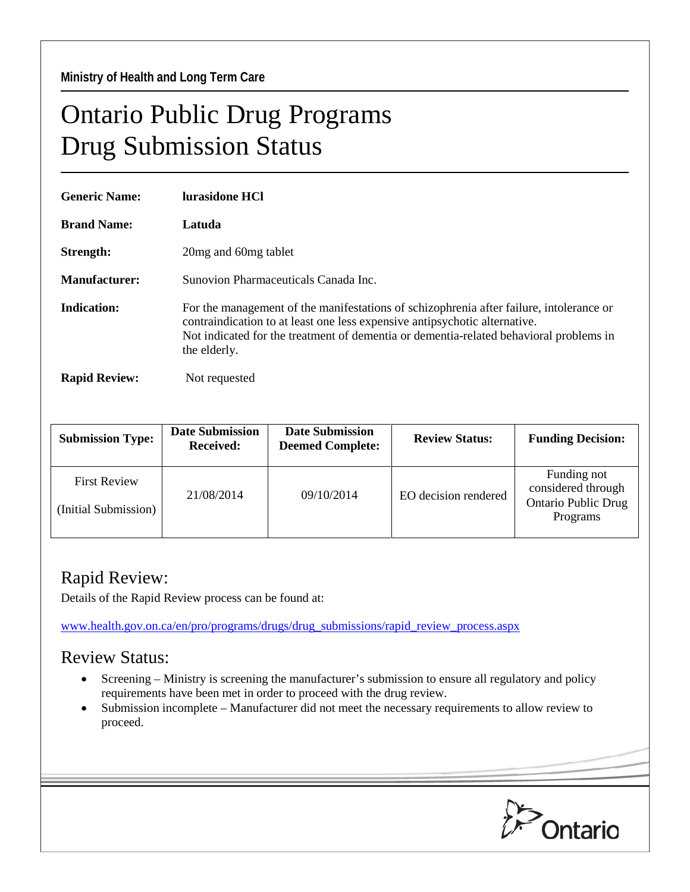**Ministry of Health and Long Term Care** 

## Ontario Public Drug Programs Drug Submission Status

| <b>Generic Name:</b> | lurasidone HCl                                                                                                                                                                                                                                                                  |  |  |
|----------------------|---------------------------------------------------------------------------------------------------------------------------------------------------------------------------------------------------------------------------------------------------------------------------------|--|--|
| <b>Brand Name:</b>   | Latuda                                                                                                                                                                                                                                                                          |  |  |
| Strength:            | 20 mg and 60 mg tablet                                                                                                                                                                                                                                                          |  |  |
| <b>Manufacturer:</b> | Sunovion Pharmaceuticals Canada Inc.                                                                                                                                                                                                                                            |  |  |
| Indication:          | For the management of the manifestations of schizophrenia after failure, intolerance or<br>contraindication to at least one less expensive antipsychotic alternative.<br>Not indicated for the treatment of dementia or dementia-related behavioral problems in<br>the elderly. |  |  |
| <b>Rapid Review:</b> | Not requested                                                                                                                                                                                                                                                                   |  |  |

| <b>Submission Type:</b>                     | <b>Date Submission</b><br><b>Received:</b> | <b>Date Submission</b><br><b>Deemed Complete:</b> | <b>Review Status:</b> | <b>Funding Decision:</b>                                                    |
|---------------------------------------------|--------------------------------------------|---------------------------------------------------|-----------------------|-----------------------------------------------------------------------------|
| <b>First Review</b><br>(Initial Submission) | 21/08/2014                                 | 09/10/2014                                        | EO decision rendered  | Funding not<br>considered through<br><b>Ontario Public Drug</b><br>Programs |

## Rapid Review:

Details of the Rapid Review process can be found at:

[www.health.gov.on.ca/en/pro/programs/drugs/drug\\_submissions/rapid\\_review\\_process.aspx](http://www.health.gov.on.ca/en/pro/programs/drugs/drug_submissions/rapid_review_process.aspx)

## Review Status:

- Screening Ministry is screening the manufacturer's submission to ensure all regulatory and policy requirements have been met in order to proceed with the drug review.
- Submission incomplete Manufacturer did not meet the necessary requirements to allow review to proceed.